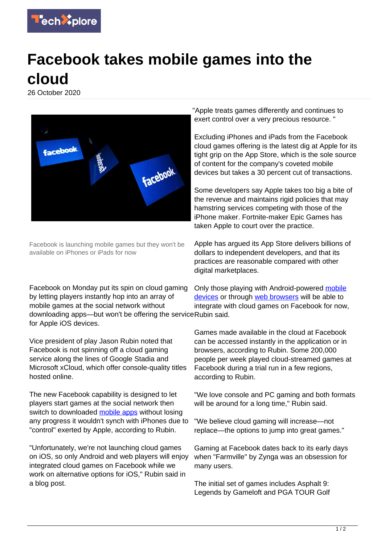

## **Facebook takes mobile games into the cloud**

26 October 2020



Facebook is launching mobile games but they won't be available on iPhones or iPads for now

Facebook on Monday put its spin on cloud gaming by letting players instantly hop into an array of mobile games at the social network without downloading apps—but won't be offering the service Rubin said. for Apple iOS devices.

Vice president of play Jason Rubin noted that Facebook is not spinning off a cloud gaming service along the lines of Google Stadia and Microsoft xCloud, which offer console-quality titles hosted online.

The new Facebook capability is designed to let players start games at the social network then switch to downloaded [mobile apps](https://techxplore.com/tags/mobile+apps/) without losing any progress it wouldn't synch with iPhones due to "control" exerted by Apple, according to Rubin.

"Unfortunately, we're not launching cloud games on iOS, so only Android and web players will enjoy integrated cloud games on Facebook while we work on alternative options for iOS," Rubin said in a blog post.

"Apple treats games differently and continues to exert control over a very precious resource. "

Excluding iPhones and iPads from the Facebook cloud games offering is the latest dig at Apple for its tight grip on the App Store, which is the sole source of content for the company's coveted mobile devices but takes a 30 percent cut of transactions.

Some developers say Apple takes too big a bite of the revenue and maintains rigid policies that may hamstring services competing with those of the iPhone maker. Fortnite-maker Epic Games has taken Apple to court over the practice.

Apple has argued its App Store delivers billions of dollars to independent developers, and that its practices are reasonable compared with other digital marketplaces.

Only those playing with Android-powered [mobile](https://techxplore.com/tags/mobile+devices/) [devices](https://techxplore.com/tags/mobile+devices/) or through [web browsers](https://techxplore.com/tags/web+browsers/) will be able to integrate with cloud games on Facebook for now,

Games made available in the cloud at Facebook can be accessed instantly in the application or in browsers, according to Rubin. Some 200,000 people per week played cloud-streamed games at Facebook during a trial run in a few regions, according to Rubin.

"We love console and PC gaming and both formats will be around for a long time," Rubin said.

"We believe cloud gaming will increase—not replace—the options to jump into great games."

Gaming at Facebook dates back to its early days when "Farmville" by Zynga was an obsession for many users.

The initial set of games includes Asphalt 9: Legends by Gameloft and PGA TOUR Golf